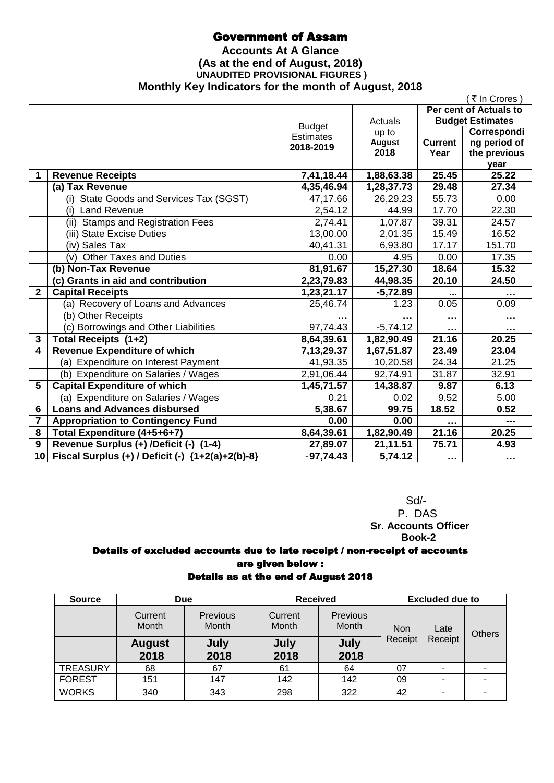## Government of Assam

### **Accounts At A Glance (As at the end of August, 2018) UNAUDITED PROVISIONAL FIGURES ) Monthly Key Indicators for the month of August, 2018**

|                |                                                     |                  |               |                | (₹In Crores)            |
|----------------|-----------------------------------------------------|------------------|---------------|----------------|-------------------------|
|                |                                                     |                  |               |                | Per cent of Actuals to  |
|                |                                                     | <b>Budget</b>    | Actuals       |                | <b>Budget Estimates</b> |
|                |                                                     | <b>Estimates</b> | up to         |                | Correspondi             |
|                |                                                     | 2018-2019        | <b>August</b> | <b>Current</b> | ng period of            |
|                |                                                     |                  | 2018          | Year           | the previous            |
| 1              | <b>Revenue Receipts</b>                             | 7,41,18.44       | 1,88,63.38    | 25.45          | year<br>25.22           |
|                | (a) Tax Revenue                                     | 4,35,46.94       | 1,28,37.73    | 29.48          | 27.34                   |
|                | (i) State Goods and Services Tax (SGST)             | 47,17.66         | 26,29.23      | 55.73          | 0.00                    |
|                | <b>Land Revenue</b>                                 |                  | 44.99         | 17.70          |                         |
|                | (i)                                                 | 2,54.12          |               |                | 22.30                   |
|                | (ii) Stamps and Registration Fees                   | 2,74.41          | 1,07.87       | 39.31          | 24.57                   |
|                | (iii) State Excise Duties                           | 13,00.00         | 2,01.35       | 15.49          | 16.52                   |
|                | (iv) Sales Tax                                      | 40,41.31         | 6,93.80       | 17.17          | 151.70                  |
|                | <b>Other Taxes and Duties</b><br>(v)                | 0.00             | 4.95          | 0.00           | 17.35                   |
|                | (b) Non-Tax Revenue                                 | 81,91.67         | 15,27.30      | 18.64          | 15.32                   |
|                | (c) Grants in aid and contribution                  | 2,23,79.83       | 44,98.35      | 20.10          | 24.50                   |
| $\overline{2}$ | <b>Capital Receipts</b>                             | 1,23,21.17       | $-5,72.89$    |                |                         |
|                | (a) Recovery of Loans and Advances                  | 25,46.74         | 1.23          | 0.05           | 0.09                    |
|                | (b) Other Receipts                                  |                  |               | $\sim$         | $\cdots$                |
|                | (c) Borrowings and Other Liabilities                | 97,74.43         | $-5,74.12$    | $\cdots$       | .                       |
| 3              | Total Receipts (1+2)                                | 8,64,39.61       | 1,82,90.49    | 21.16          | 20.25                   |
| 4              | <b>Revenue Expenditure of which</b>                 | 7, 13, 29. 37    | 1,67,51.87    | 23.49          | 23.04                   |
|                | (a) Expenditure on Interest Payment                 | 41,93.35         | 10,20.58      | 24.34          | 21.25                   |
|                | (b) Expenditure on Salaries / Wages                 | 2,91,06.44       | 92,74.91      | 31.87          | 32.91                   |
| 5              | <b>Capital Expenditure of which</b>                 | 1,45,71.57       | 14,38.87      | 9.87           | 6.13                    |
|                | (a) Expenditure on Salaries / Wages                 | 0.21             | 0.02          | 9.52           | 5.00                    |
| 6              | <b>Loans and Advances disbursed</b>                 | 5,38.67          | 99.75         | 18.52          | 0.52                    |
| 7              | <b>Appropriation to Contingency Fund</b>            | 0.00             | 0.00          | $\cdots$       | ---                     |
| 8              | Total Expenditure (4+5+6+7)                         | 8,64,39.61       | 1,82,90.49    | 21.16          | 20.25                   |
| 9              | Revenue Surplus (+) /Deficit (-)<br>$(1-4)$         | 27,89.07         | 21,11.51      | 75.71          | 4.93                    |
|                | 10 Fiscal Surplus (+) / Deficit (-) {1+2(a)+2(b)-8} | $-97,74.43$      | 5,74.12       | $\sim 100$     | $\sim$ $\sim$ $\sim$    |

 Sd/- P. DAS  **Sr. Accounts Officer Book-2**

## Details of excluded accounts due to late receipt / non-receipt of accounts are given below :

### Details as at the end of August 2018

| <b>Source</b>   | <b>Due</b>            |                          | <b>Received</b>  |                          | <b>Excluded due to</b> |         |      |               |
|-----------------|-----------------------|--------------------------|------------------|--------------------------|------------------------|---------|------|---------------|
|                 | Current<br>Month      | Previous<br><b>Month</b> | Current<br>Month | Previous<br><b>Month</b> | <b>Non</b>             |         | Late | <b>Others</b> |
|                 | <b>August</b><br>2018 | July<br>2018             | July<br>2018     | July<br>2018             | Receipt                | Receipt |      |               |
| <b>TREASURY</b> | 68                    | 67                       | 61               | 64                       | 07                     |         |      |               |
| <b>FOREST</b>   | 151                   | 147                      | 142              | 142                      | 09                     |         |      |               |
| <b>WORKS</b>    | 340                   | 343                      | 298              | 322                      | 42                     |         |      |               |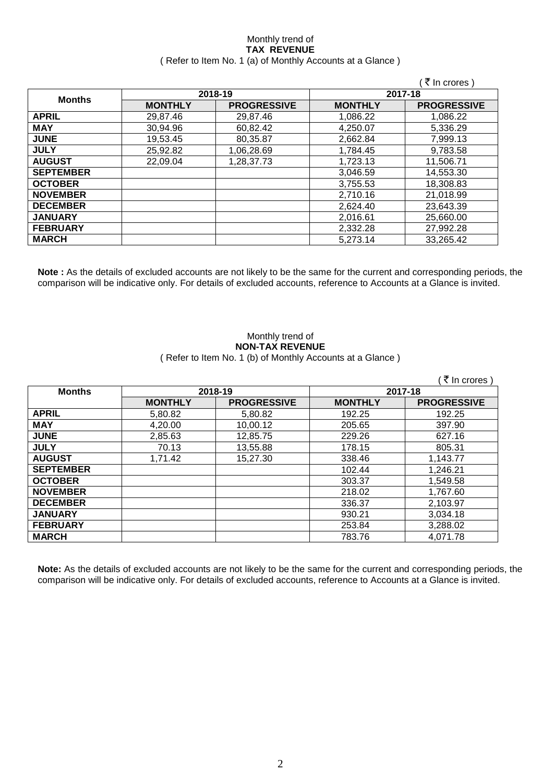#### Monthly trend of **TAX REVENUE** ( Refer to Item No. 1 (a) of Monthly Accounts at a Glance )

|                  |                |                    |                | ₹ In crores)       |
|------------------|----------------|--------------------|----------------|--------------------|
|                  |                | 2018-19            | 2017-18        |                    |
| <b>Months</b>    | <b>MONTHLY</b> | <b>PROGRESSIVE</b> | <b>MONTHLY</b> | <b>PROGRESSIVE</b> |
| <b>APRIL</b>     | 29,87.46       | 29,87.46           | 1,086.22       | 1,086.22           |
| <b>MAY</b>       | 30,94.96       | 60,82.42           | 4,250.07       | 5,336.29           |
| <b>JUNE</b>      | 19,53.45       | 80,35.87           | 2,662.84       | 7,999.13           |
| <b>JULY</b>      | 25,92.82       | 1,06,28.69         | 1,784.45       | 9,783.58           |
| <b>AUGUST</b>    | 22,09.04       | 1,28,37.73         | 1,723.13       | 11,506.71          |
| <b>SEPTEMBER</b> |                |                    | 3,046.59       | 14,553.30          |
| <b>OCTOBER</b>   |                |                    | 3,755.53       | 18,308.83          |
| <b>NOVEMBER</b>  |                |                    | 2,710.16       | 21,018.99          |
| <b>DECEMBER</b>  |                |                    | 2,624.40       | 23,643.39          |
| <b>JANUARY</b>   |                |                    | 2,016.61       | 25,660.00          |
| <b>FEBRUARY</b>  |                |                    | 2,332.28       | 27,992.28          |
| <b>MARCH</b>     |                |                    | 5,273.14       | 33,265.42          |

**Note :** As the details of excluded accounts are not likely to be the same for the current and corresponding periods, the comparison will be indicative only. For details of excluded accounts, reference to Accounts at a Glance is invited.

#### Monthly trend of **NON-TAX REVENUE** ( Refer to Item No. 1 (b) of Monthly Accounts at a Glance )

|                  |                |                    |                | ₹ In crores)       |
|------------------|----------------|--------------------|----------------|--------------------|
| <b>Months</b>    |                | 2018-19            | 2017-18        |                    |
|                  | <b>MONTHLY</b> | <b>PROGRESSIVE</b> | <b>MONTHLY</b> | <b>PROGRESSIVE</b> |
| <b>APRIL</b>     | 5,80.82        | 5,80.82            | 192.25         | 192.25             |
| <b>MAY</b>       | 4,20.00        | 10,00.12           | 205.65         | 397.90             |
| <b>JUNE</b>      | 2,85.63        | 12,85.75           | 229.26         | 627.16             |
| <b>JULY</b>      | 70.13          | 13,55.88           | 178.15         | 805.31             |
| <b>AUGUST</b>    | 1,71.42        | 15,27.30           | 338.46         | 1,143.77           |
| <b>SEPTEMBER</b> |                |                    | 102.44         | 1,246.21           |
| <b>OCTOBER</b>   |                |                    | 303.37         | 1,549.58           |
| <b>NOVEMBER</b>  |                |                    | 218.02         | 1,767.60           |
| <b>DECEMBER</b>  |                |                    | 336.37         | 2,103.97           |
| <b>JANUARY</b>   |                |                    | 930.21         | 3,034.18           |
| <b>FEBRUARY</b>  |                |                    | 253.84         | 3,288.02           |
| <b>MARCH</b>     |                |                    | 783.76         | 4.071.78           |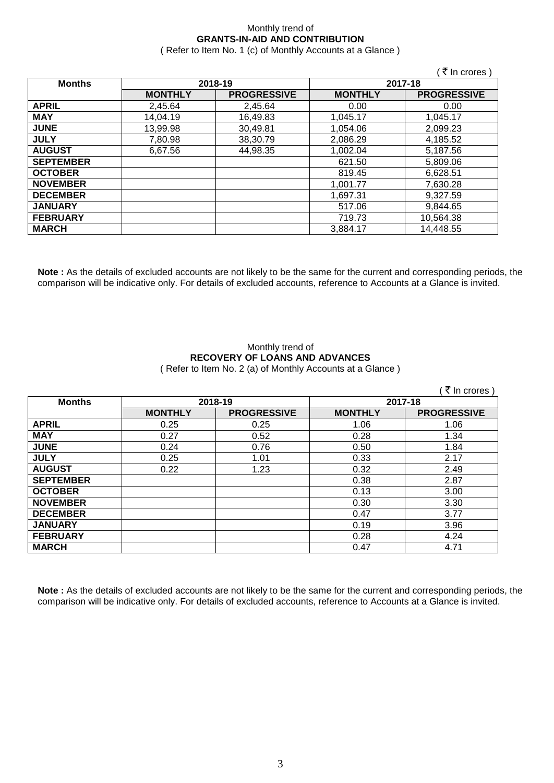### Monthly trend of **GRANTS-IN-AID AND CONTRIBUTION**

( Refer to Item No. 1 (c) of Monthly Accounts at a Glance )

 $\sqrt{7}$  In crores )

| <b>Months</b>    | 2018-19        |                    |                | 2017-18            |
|------------------|----------------|--------------------|----------------|--------------------|
|                  | <b>MONTHLY</b> | <b>PROGRESSIVE</b> | <b>MONTHLY</b> | <b>PROGRESSIVE</b> |
| <b>APRIL</b>     | 2,45.64        | 2,45.64            | 0.00           | 0.00               |
| <b>MAY</b>       | 14,04.19       | 16,49.83           | 1,045.17       | 1,045.17           |
| <b>JUNE</b>      | 13,99.98       | 30,49.81           | 1,054.06       | 2,099.23           |
| <b>JULY</b>      | 7,80.98        | 38,30.79           | 2,086.29       | 4,185.52           |
| <b>AUGUST</b>    | 6,67.56        | 44,98.35           | 1,002.04       | 5,187.56           |
| <b>SEPTEMBER</b> |                |                    | 621.50         | 5,809.06           |
| <b>OCTOBER</b>   |                |                    | 819.45         | 6,628.51           |
| <b>NOVEMBER</b>  |                |                    | 1.001.77       | 7,630.28           |
| <b>DECEMBER</b>  |                |                    | 1,697.31       | 9,327.59           |
| <b>JANUARY</b>   |                |                    | 517.06         | 9,844.65           |
| <b>FEBRUARY</b>  |                |                    | 719.73         | 10,564.38          |
| <b>MARCH</b>     |                |                    | 3,884.17       | 14,448.55          |

**Note :** As the details of excluded accounts are not likely to be the same for the current and corresponding periods, the comparison will be indicative only. For details of excluded accounts, reference to Accounts at a Glance is invited.

## Monthly trend of **RECOVERY OF LOANS AND ADVANCES**

( Refer to Item No. 2 (a) of Monthly Accounts at a Glance )

|                  |                |                    |                | ₹ In crores)       |
|------------------|----------------|--------------------|----------------|--------------------|
| <b>Months</b>    |                | 2018-19            | 2017-18        |                    |
|                  | <b>MONTHLY</b> | <b>PROGRESSIVE</b> | <b>MONTHLY</b> | <b>PROGRESSIVE</b> |
| <b>APRIL</b>     | 0.25           | 0.25               | 1.06           | 1.06               |
| <b>MAY</b>       | 0.27           | 0.52               | 0.28           | 1.34               |
| <b>JUNE</b>      | 0.24           | 0.76               | 0.50           | 1.84               |
| <b>JULY</b>      | 0.25           | 1.01               | 0.33           | 2.17               |
| <b>AUGUST</b>    | 0.22           | 1.23               | 0.32           | 2.49               |
| <b>SEPTEMBER</b> |                |                    | 0.38           | 2.87               |
| <b>OCTOBER</b>   |                |                    | 0.13           | 3.00               |
| <b>NOVEMBER</b>  |                |                    | 0.30           | 3.30               |
| <b>DECEMBER</b>  |                |                    | 0.47           | 3.77               |
| <b>JANUARY</b>   |                |                    | 0.19           | 3.96               |
| <b>FEBRUARY</b>  |                |                    | 0.28           | 4.24               |
| <b>MARCH</b>     |                |                    | 0.47           | 4.71               |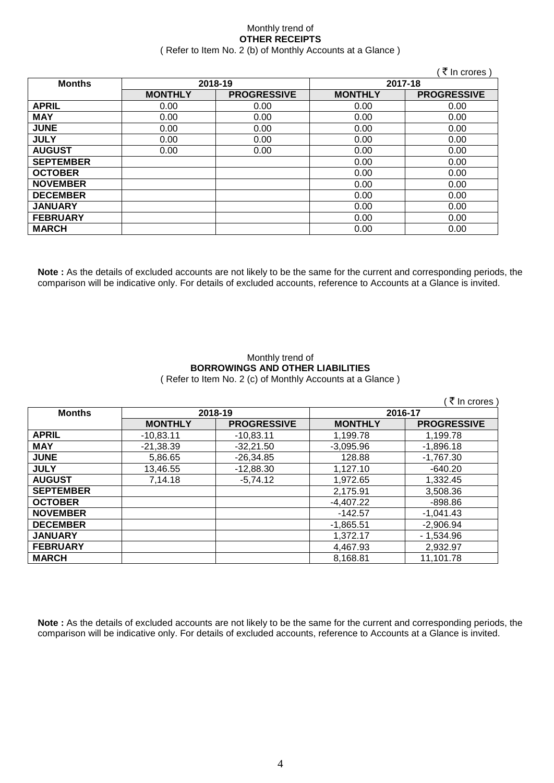#### Monthly trend of **OTHER RECEIPTS** ( Refer to Item No. 2 (b) of Monthly Accounts at a Glance )

|                  |                |                    |                | (₹In crores)       |
|------------------|----------------|--------------------|----------------|--------------------|
| <b>Months</b>    |                | 2018-19            | 2017-18        |                    |
|                  | <b>MONTHLY</b> | <b>PROGRESSIVE</b> | <b>MONTHLY</b> | <b>PROGRESSIVE</b> |
| <b>APRIL</b>     | 0.00           | 0.00               | 0.00           | 0.00               |
| <b>MAY</b>       | 0.00           | 0.00               | 0.00           | 0.00               |
| <b>JUNE</b>      | 0.00           | 0.00               | 0.00           | 0.00               |
| <b>JULY</b>      | 0.00           | 0.00               | 0.00           | 0.00               |
| <b>AUGUST</b>    | 0.00           | 0.00               | 0.00           | 0.00               |
| <b>SEPTEMBER</b> |                |                    | 0.00           | 0.00               |
| <b>OCTOBER</b>   |                |                    | 0.00           | 0.00               |
| <b>NOVEMBER</b>  |                |                    | 0.00           | 0.00               |
| <b>DECEMBER</b>  |                |                    | 0.00           | 0.00               |
| <b>JANUARY</b>   |                |                    | 0.00           | 0.00               |
| <b>FEBRUARY</b>  |                |                    | 0.00           | 0.00               |
| <b>MARCH</b>     |                |                    | 0.00           | 0.00               |

**Note :** As the details of excluded accounts are not likely to be the same for the current and corresponding periods, the comparison will be indicative only. For details of excluded accounts, reference to Accounts at a Glance is invited.

#### Monthly trend of **BORROWINGS AND OTHER LIABILITIES** ( Refer to Item No. 2 (c) of Monthly Accounts at a Glance )

|                  |                |                    |                | ( ₹ In crores)     |
|------------------|----------------|--------------------|----------------|--------------------|
| <b>Months</b>    | 2018-19        |                    | 2016-17        |                    |
|                  | <b>MONTHLY</b> | <b>PROGRESSIVE</b> | <b>MONTHLY</b> | <b>PROGRESSIVE</b> |
| <b>APRIL</b>     | $-10,83.11$    | $-10,83.11$        | 1,199.78       | 1,199.78           |
| <b>MAY</b>       | $-21,38.39$    | $-32,21.50$        | $-3.095.96$    | $-1,896.18$        |
| <b>JUNE</b>      | 5,86.65        | $-26,34.85$        | 128.88         | $-1,767.30$        |
| <b>JULY</b>      | 13,46.55       | $-12,88.30$        | 1.127.10       | $-640.20$          |
| <b>AUGUST</b>    | 7,14.18        | $-5,74.12$         | 1,972.65       | 1,332.45           |
| <b>SEPTEMBER</b> |                |                    | 2.175.91       | 3,508.36           |
| <b>OCTOBER</b>   |                |                    | $-4.407.22$    | $-898.86$          |
| <b>NOVEMBER</b>  |                |                    | $-142.57$      | $-1.041.43$        |
| <b>DECEMBER</b>  |                |                    | $-1,865.51$    | $-2,906.94$        |
| <b>JANUARY</b>   |                |                    | 1.372.17       | $-1,534.96$        |
| <b>FEBRUARY</b>  |                |                    | 4.467.93       | 2.932.97           |
| <b>MARCH</b>     |                |                    | 8.168.81       | 11.101.78          |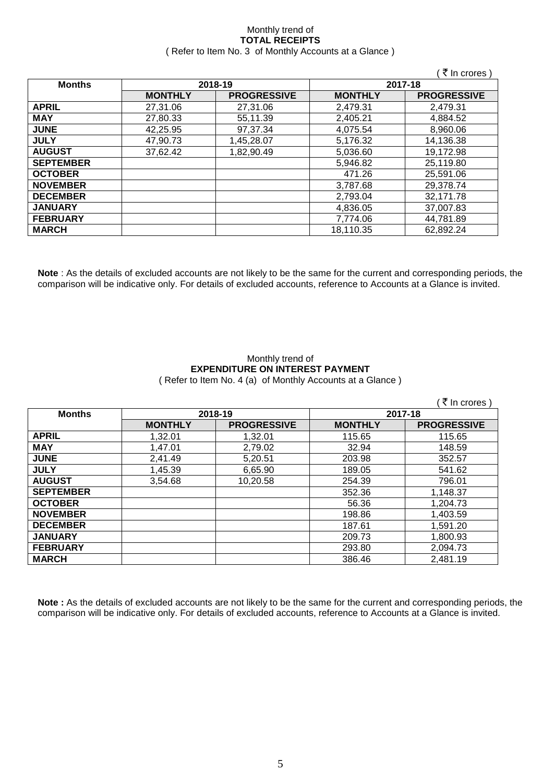#### Monthly trend of **TOTAL RECEIPTS** ( Refer to Item No. 3 of Monthly Accounts at a Glance )

|                  |                |                    |                | (₹ In crores)      |
|------------------|----------------|--------------------|----------------|--------------------|
| <b>Months</b>    |                | 2018-19            | 2017-18        |                    |
|                  | <b>MONTHLY</b> | <b>PROGRESSIVE</b> | <b>MONTHLY</b> | <b>PROGRESSIVE</b> |
| <b>APRIL</b>     | 27,31.06       | 27,31.06           | 2,479.31       | 2,479.31           |
| <b>MAY</b>       | 27,80.33       | 55,11.39           | 2,405.21       | 4,884.52           |
| <b>JUNE</b>      | 42,25.95       | 97,37.34           | 4,075.54       | 8,960.06           |
| <b>JULY</b>      | 47,90.73       | 1,45,28.07         | 5,176.32       | 14,136.38          |
| <b>AUGUST</b>    | 37,62.42       | 1,82,90.49         | 5,036.60       | 19,172.98          |
| <b>SEPTEMBER</b> |                |                    | 5,946.82       | 25,119.80          |
| <b>OCTOBER</b>   |                |                    | 471.26         | 25,591.06          |
| <b>NOVEMBER</b>  |                |                    | 3,787.68       | 29,378.74          |
| <b>DECEMBER</b>  |                |                    | 2,793.04       | 32,171.78          |
| <b>JANUARY</b>   |                |                    | 4,836.05       | 37,007.83          |
| <b>FEBRUARY</b>  |                |                    | 7.774.06       | 44,781.89          |
| <b>MARCH</b>     |                |                    | 18.110.35      | 62,892.24          |

**Note** : As the details of excluded accounts are not likely to be the same for the current and corresponding periods, the comparison will be indicative only. For details of excluded accounts, reference to Accounts at a Glance is invited.

#### Monthly trend of **EXPENDITURE ON INTEREST PAYMENT** ( Refer to Item No. 4 (a) of Monthly Accounts at a Glance )

|                  |                |                    |                | (₹ In crores)      |
|------------------|----------------|--------------------|----------------|--------------------|
| <b>Months</b>    | 2018-19        |                    | 2017-18        |                    |
|                  | <b>MONTHLY</b> | <b>PROGRESSIVE</b> | <b>MONTHLY</b> | <b>PROGRESSIVE</b> |
| <b>APRIL</b>     | 1,32.01        | 1,32.01            | 115.65         | 115.65             |
| <b>MAY</b>       | 1,47.01        | 2,79.02            | 32.94          | 148.59             |
| <b>JUNE</b>      | 2,41.49        | 5,20.51            | 203.98         | 352.57             |
| <b>JULY</b>      | 1,45.39        | 6,65.90            | 189.05         | 541.62             |
| <b>AUGUST</b>    | 3,54.68        | 10,20.58           | 254.39         | 796.01             |
| <b>SEPTEMBER</b> |                |                    | 352.36         | 1,148.37           |
| <b>OCTOBER</b>   |                |                    | 56.36          | 1,204.73           |
| <b>NOVEMBER</b>  |                |                    | 198.86         | 1,403.59           |
| <b>DECEMBER</b>  |                |                    | 187.61         | 1,591.20           |
| <b>JANUARY</b>   |                |                    | 209.73         | 1,800.93           |
| <b>FEBRUARY</b>  |                |                    | 293.80         | 2,094.73           |
| <b>MARCH</b>     |                |                    | 386.46         | 2,481.19           |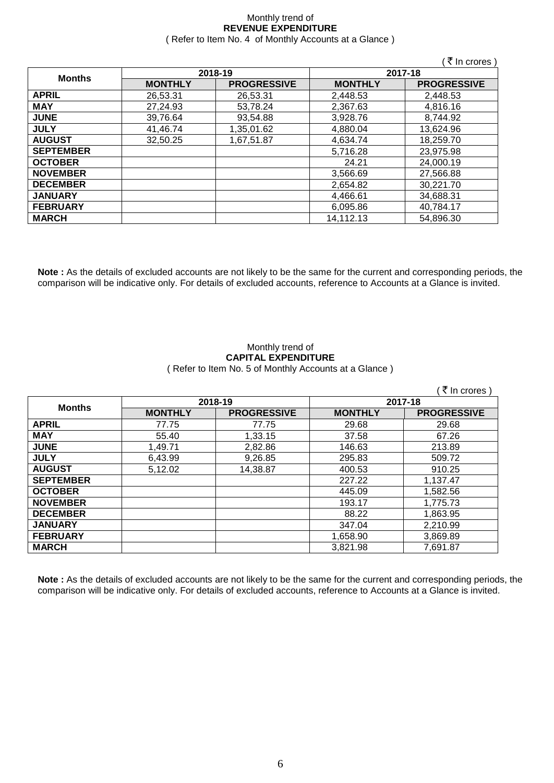#### Monthly trend of **REVENUE EXPENDITURE** ( Refer to Item No. 4 of Monthly Accounts at a Glance )

|                  |                |                    |                | ( ₹ In crores )    |
|------------------|----------------|--------------------|----------------|--------------------|
|                  |                | 2018-19            | 2017-18        |                    |
| <b>Months</b>    | <b>MONTHLY</b> | <b>PROGRESSIVE</b> | <b>MONTHLY</b> | <b>PROGRESSIVE</b> |
| <b>APRIL</b>     | 26,53.31       | 26,53.31           | 2,448.53       | 2,448.53           |
| <b>MAY</b>       | 27,24.93       | 53,78.24           | 2,367.63       | 4,816.16           |
| <b>JUNE</b>      | 39,76.64       | 93,54.88           | 3,928.76       | 8,744.92           |
| <b>JULY</b>      | 41,46.74       | 1,35,01.62         | 4,880.04       | 13,624.96          |
| <b>AUGUST</b>    | 32,50.25       | 1,67,51.87         | 4,634.74       | 18,259.70          |
| <b>SEPTEMBER</b> |                |                    | 5,716.28       | 23,975.98          |
| <b>OCTOBER</b>   |                |                    | 24.21          | 24,000.19          |
| <b>NOVEMBER</b>  |                |                    | 3,566.69       | 27,566.88          |
| <b>DECEMBER</b>  |                |                    | 2,654.82       | 30,221.70          |
| <b>JANUARY</b>   |                |                    | 4,466.61       | 34,688.31          |
| <b>FEBRUARY</b>  |                |                    | 6,095.86       | 40,784.17          |
| <b>MARCH</b>     |                |                    | 14,112.13      | 54,896.30          |

**Note :** As the details of excluded accounts are not likely to be the same for the current and corresponding periods, the comparison will be indicative only. For details of excluded accounts, reference to Accounts at a Glance is invited.

#### Monthly trend of **CAPITAL EXPENDITURE**  ( Refer to Item No. 5 of Monthly Accounts at a Glance )

|                  |                |                    |                | (₹ In crores)      |
|------------------|----------------|--------------------|----------------|--------------------|
|                  | 2018-19        |                    | 2017-18        |                    |
| <b>Months</b>    | <b>MONTHLY</b> | <b>PROGRESSIVE</b> | <b>MONTHLY</b> | <b>PROGRESSIVE</b> |
| <b>APRIL</b>     | 77.75          | 77.75              | 29.68          | 29.68              |
| <b>MAY</b>       | 55.40          | 1,33.15            | 37.58          | 67.26              |
| <b>JUNE</b>      | 1,49.71        | 2,82.86            | 146.63         | 213.89             |
| <b>JULY</b>      | 6,43.99        | 9,26.85            | 295.83         | 509.72             |
| <b>AUGUST</b>    | 5,12.02        | 14,38.87           | 400.53         | 910.25             |
| <b>SEPTEMBER</b> |                |                    | 227.22         | 1,137.47           |
| <b>OCTOBER</b>   |                |                    | 445.09         | 1,582.56           |
| <b>NOVEMBER</b>  |                |                    | 193.17         | 1,775.73           |
| <b>DECEMBER</b>  |                |                    | 88.22          | 1,863.95           |
| <b>JANUARY</b>   |                |                    | 347.04         | 2,210.99           |
| <b>FEBRUARY</b>  |                |                    | 1,658.90       | 3,869.89           |
| <b>MARCH</b>     |                |                    | 3,821.98       | 7,691.87           |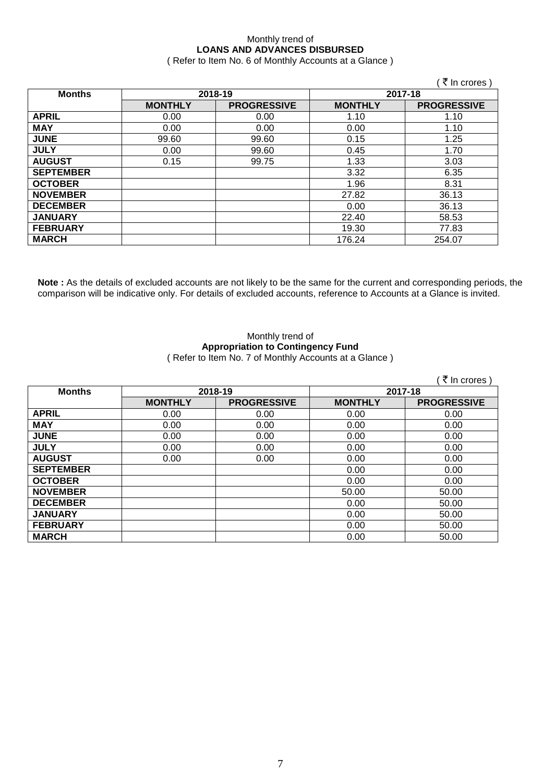### Monthly trend of **LOANS AND ADVANCES DISBURSED**

( Refer to Item No. 6 of Monthly Accounts at a Glance )

|                  |                |                    |                | (₹ In crores)      |
|------------------|----------------|--------------------|----------------|--------------------|
| <b>Months</b>    | 2018-19        |                    | 2017-18        |                    |
|                  | <b>MONTHLY</b> | <b>PROGRESSIVE</b> | <b>MONTHLY</b> | <b>PROGRESSIVE</b> |
| <b>APRIL</b>     | 0.00           | 0.00               | 1.10           | 1.10               |
| <b>MAY</b>       | 0.00           | 0.00               | 0.00           | 1.10               |
| <b>JUNE</b>      | 99.60          | 99.60              | 0.15           | 1.25               |
| <b>JULY</b>      | 0.00           | 99.60              | 0.45           | 1.70               |
| <b>AUGUST</b>    | 0.15           | 99.75              | 1.33           | 3.03               |
| <b>SEPTEMBER</b> |                |                    | 3.32           | 6.35               |
| <b>OCTOBER</b>   |                |                    | 1.96           | 8.31               |
| <b>NOVEMBER</b>  |                |                    | 27.82          | 36.13              |
| <b>DECEMBER</b>  |                |                    | 0.00           | 36.13              |
| <b>JANUARY</b>   |                |                    | 22.40          | 58.53              |
| <b>FEBRUARY</b>  |                |                    | 19.30          | 77.83              |
| <b>MARCH</b>     |                |                    | 176.24         | 254.07             |

**Note :** As the details of excluded accounts are not likely to be the same for the current and corresponding periods, the comparison will be indicative only. For details of excluded accounts, reference to Accounts at a Glance is invited.

#### Monthly trend of **Appropriation to Contingency Fund** ( Refer to Item No. 7 of Monthly Accounts at a Glance )

|                  |                |                    |                | ∶ ₹ In crores )    |
|------------------|----------------|--------------------|----------------|--------------------|
| <b>Months</b>    | 2018-19        |                    | 2017-18        |                    |
|                  | <b>MONTHLY</b> | <b>PROGRESSIVE</b> | <b>MONTHLY</b> | <b>PROGRESSIVE</b> |
| <b>APRIL</b>     | 0.00           | 0.00               | 0.00           | 0.00               |
| <b>MAY</b>       | 0.00           | 0.00               | 0.00           | 0.00               |
| <b>JUNE</b>      | 0.00           | 0.00               | 0.00           | 0.00               |
| <b>JULY</b>      | 0.00           | 0.00               | 0.00           | 0.00               |
| <b>AUGUST</b>    | 0.00           | 0.00               | 0.00           | 0.00               |
| <b>SEPTEMBER</b> |                |                    | 0.00           | 0.00               |
| <b>OCTOBER</b>   |                |                    | 0.00           | 0.00               |
| <b>NOVEMBER</b>  |                |                    | 50.00          | 50.00              |
| <b>DECEMBER</b>  |                |                    | 0.00           | 50.00              |
| <b>JANUARY</b>   |                |                    | 0.00           | 50.00              |
| <b>FEBRUARY</b>  |                |                    | 0.00           | 50.00              |
| <b>MARCH</b>     |                |                    | 0.00           | 50.00              |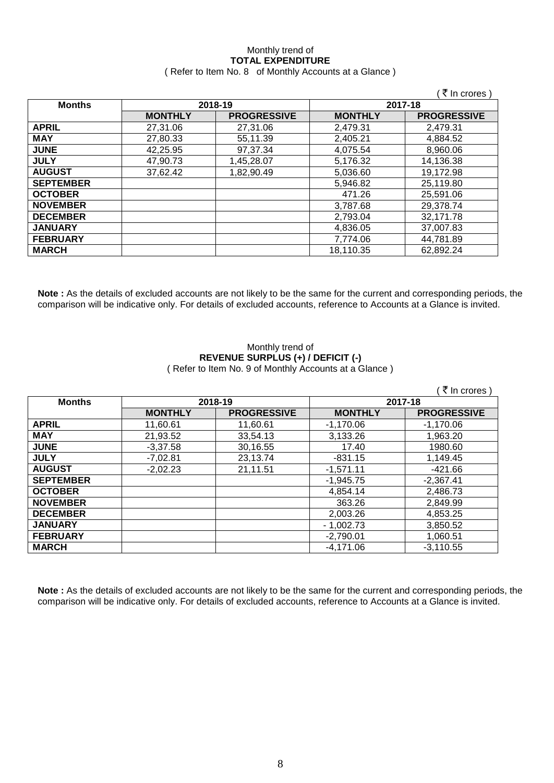# Monthly trend of **TOTAL EXPENDITURE**

|                  |                |                    |                | ∶ ₹ In crores )    |  |
|------------------|----------------|--------------------|----------------|--------------------|--|
| <b>Months</b>    |                | 2018-19            |                | 2017-18            |  |
|                  | <b>MONTHLY</b> | <b>PROGRESSIVE</b> | <b>MONTHLY</b> | <b>PROGRESSIVE</b> |  |
| <b>APRIL</b>     | 27,31.06       | 27,31.06           | 2,479.31       | 2,479.31           |  |
| <b>MAY</b>       | 27,80.33       | 55,11.39           | 2,405.21       | 4,884.52           |  |
| <b>JUNE</b>      | 42,25.95       | 97,37.34           | 4,075.54       | 8,960.06           |  |
| <b>JULY</b>      | 47,90.73       | 1,45,28.07         | 5,176.32       | 14,136.38          |  |
| <b>AUGUST</b>    | 37,62.42       | 1,82,90.49         | 5,036.60       | 19,172.98          |  |
| <b>SEPTEMBER</b> |                |                    | 5,946.82       | 25,119.80          |  |
| <b>OCTOBER</b>   |                |                    | 471.26         | 25,591.06          |  |
| <b>NOVEMBER</b>  |                |                    | 3,787.68       | 29,378.74          |  |
| <b>DECEMBER</b>  |                |                    | 2,793.04       | 32,171.78          |  |
| <b>JANUARY</b>   |                |                    | 4,836.05       | 37,007.83          |  |
| <b>FEBRUARY</b>  |                |                    | 7,774.06       | 44,781.89          |  |
| <b>MARCH</b>     |                |                    | 18,110.35      | 62,892.24          |  |

**MARCH** 18,110.35 62,892.24

( Refer to Item No. 8 of Monthly Accounts at a Glance )

**Note :** As the details of excluded accounts are not likely to be the same for the current and corresponding periods, the comparison will be indicative only. For details of excluded accounts, reference to Accounts at a Glance is invited.

#### Monthly trend of **REVENUE SURPLUS (+) / DEFICIT (-)** ( Refer to Item No. 9 of Monthly Accounts at a Glance )

|                  |                |                    |                | ็ ₹ In crores )    |
|------------------|----------------|--------------------|----------------|--------------------|
| <b>Months</b>    | 2018-19        |                    | 2017-18        |                    |
|                  | <b>MONTHLY</b> | <b>PROGRESSIVE</b> | <b>MONTHLY</b> | <b>PROGRESSIVE</b> |
| <b>APRIL</b>     | 11,60.61       | 11,60.61           | $-1,170.06$    | $-1,170.06$        |
| <b>MAY</b>       | 21,93.52       | 33,54.13           | 3,133.26       | 1,963.20           |
| <b>JUNE</b>      | $-3,37.58$     | 30,16.55           | 17.40          | 1980.60            |
| <b>JULY</b>      | $-7,02.81$     | 23,13.74           | $-831.15$      | 1,149.45           |
| <b>AUGUST</b>    | $-2,02.23$     | 21,11.51           | $-1,571.11$    | $-421.66$          |
| <b>SEPTEMBER</b> |                |                    | $-1,945.75$    | $-2,367.41$        |
| <b>OCTOBER</b>   |                |                    | 4.854.14       | 2,486.73           |
| <b>NOVEMBER</b>  |                |                    | 363.26         | 2,849.99           |
| <b>DECEMBER</b>  |                |                    | 2,003.26       | 4,853.25           |
| <b>JANUARY</b>   |                |                    | $-1,002.73$    | 3,850.52           |
| <b>FEBRUARY</b>  |                |                    | $-2,790.01$    | 1,060.51           |
| <b>MARCH</b>     |                |                    | $-4,171.06$    | $-3,110.55$        |